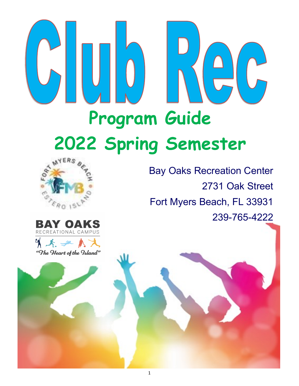# **Program Guide 2022 Spring Semester**



Bay Oaks Recreation Center 2731 Oak Street Fort Myers Beach, FL 33931 239-765-4222



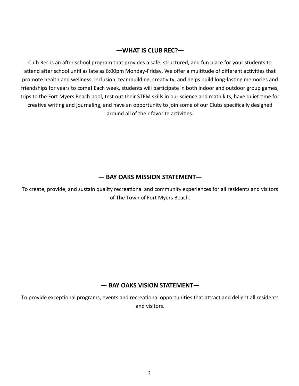# **—WHAT IS CLUB REC?—**

Club Rec is an after school program that provides a safe, structured, and fun place for your students to attend after school until as late as 6:00pm Monday-Friday. We offer a multitude of different activities that promote health and wellness, inclusion, teambuilding, creativity, and helps build long-lasting memories and friendships for years to come! Each week, students will participate in both indoor and outdoor group games, trips to the Fort Myers Beach pool, test out their STEM skills in our science and math kits, have quiet time for creative writing and journaling, and have an opportunity to join some of our Clubs specifically designed around all of their favorite activities.

# **— BAY OAKS MISSION STATEMENT—**

To create, provide, and sustain quality recreational and community experiences for all residents and visitors of The Town of Fort Myers Beach.

# **— BAY OAKS VISION STATEMENT—**

To provide exceptional programs, events and recreational opportunities that attract and delight all residents and visitors.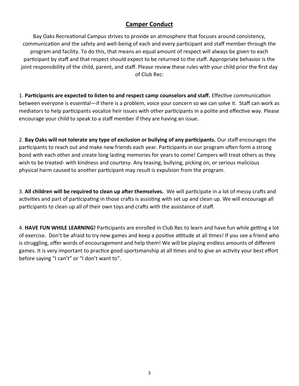# **Camper Conduct**

Bay Oaks Recreational Campus strives to provide an atmosphere that focuses around consistency, communication and the safety and well-being of each and every participant and staff member through the program and facility. To do this, that means an equal amount of respect will always be given to each participant by staff and that respect should expect to be returned to the staff. Appropriate behavior is the joint responsibility of the child, parent, and staff. Please review these rules with your child prior the first day of Club Rec:

1. **Participants are expected to listen to and respect camp counselors and staff.** Effective communication between everyone is essential—if there is a problem, voice your concern so we can solve it. Staff can work as mediators to help participants vocalize heir issues with other participants in a polite and effective way. Please encourage your child to speak to a staff member if they are having an issue.

2. **Bay Oaks will not tolerate any type of exclusion or bullying of any participants.** Our staff encourages the participants to reach out and make new friends each year. Participants in our program often form a strong bond with each other and create long lasting memories for years to come! Campers will treat others as they wish to be treated- with kindness and courtesy. Any teasing, bullying, picking on, or serious malicious physical harm caused to another participant may result is expulsion from the program.

3. **All children will be required to clean up after themselves.** We will participate in a lot of messy crafts and activities and part of participating in those crafts is assisting with set up and clean up. We will encourage all participants to clean up all of their own toys and crafts with the assistance of staff.

4. **HAVE FUN WHILE LEARNING!** Participants are enrolled in Club Rec to learn and have fun while getting a lot of exercise. Don't be afraid to try new games and keep a positive attitude at all times! If you see a friend who is struggling, offer words of encouragement and help them! We will be playing endless amounts of different games. It is very important to practice good sportsmanship at all times and to give an activity your best effort before saying "I can't" or "I don't want to".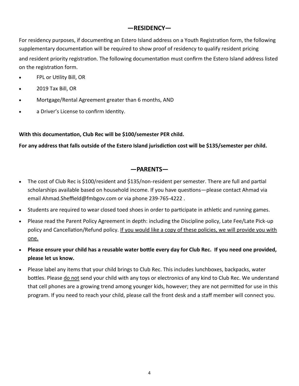## **—RESIDENCY—**

For residency purposes, if documenting an Estero Island address on a Youth Registration form, the following supplementary documentation will be required to show proof of residency to qualify resident pricing and resident priority registration. The following documentation must confirm the Estero Island address listed on the registration form.

- FPL or Utility Bill, OR
- 2019 Tax Bill, OR
- Mortgage/Rental Agreement greater than 6 months, AND
- a Driver's License to confirm Identity.

**With this documentation, Club Rec will be \$100/semester PER child.** 

**For any address that falls outside of the Estero Island jurisdiction cost will be \$135/semester per child.** 

### **—PARENTS—**

- The cost of Club Rec is \$100/resident and \$135/non-resident per semester. There are full and partial scholarships available based on household income. If you have questions—please contact Ahmad via email Ahmad.Sheffield@fmbgov.com or via phone 239-765-4222 .
- Students are required to wear closed toed shoes in order to participate in athletic and running games.
- Please read the Parent Policy Agreement in depth: including the Discipline policy, Late Fee/Late Pick-up policy and Cancellation/Refund policy. If you would like a copy of these policies, we will provide you with one.
- **Please ensure your child has a reusable water bottle every day for Club Rec. If you need one provided, please let us know.**
- Please label any items that your child brings to Club Rec. This includes lunchboxes, backpacks, water bottles. Please do not send your child with any toys or electronics of any kind to Club Rec. We understand that cell phones are a growing trend among younger kids, however; they are not permitted for use in this program. If you need to reach your child, please call the front desk and a staff member will connect you.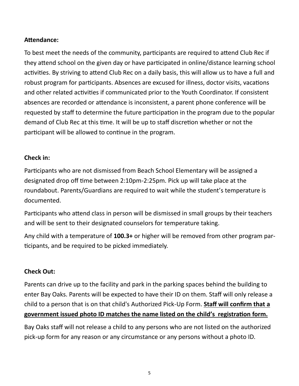# **Attendance:**

To best meet the needs of the community, participants are required to attend Club Rec if they attend school on the given day or have participated in online/distance learning school activities. By striving to attend Club Rec on a daily basis, this will allow us to have a full and robust program for participants. Absences are excused for illness, doctor visits, vacations and other related activities if communicated prior to the Youth Coordinator. If consistent absences are recorded or attendance is inconsistent, a parent phone conference will be requested by staff to determine the future participation in the program due to the popular demand of Club Rec at this time. It will be up to staff discretion whether or not the participant will be allowed to continue in the program.

# **Check in:**

Participants who are not dismissed from Beach School Elementary will be assigned a designated drop off time between 2:10pm-2:25pm. Pick up will take place at the roundabout. Parents/Guardians are required to wait while the student's temperature is documented.

Participants who attend class in person will be dismissed in small groups by their teachers and will be sent to their designated counselors for temperature taking.

Any child with a temperature of **100.3+** or higher will be removed from other program participants, and be required to be picked immediately.

# **Check Out:**

Parents can drive up to the facility and park in the parking spaces behind the building to enter Bay Oaks. Parents will be expected to have their ID on them. Staff will only release a child to a person that is on that child's Authorized Pick-Up Form. **Staff will confirm that a government issued photo ID matches the name listed on the child's registration form.**

Bay Oaks staff will not release a child to any persons who are not listed on the authorized pick-up form for any reason or any circumstance or any persons without a photo ID.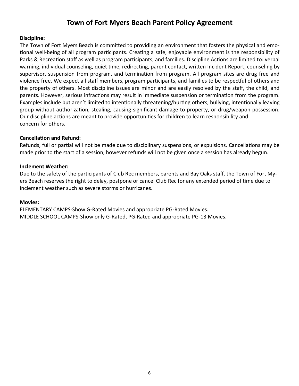# **Town of Fort Myers Beach Parent Policy Agreement**

#### **Discipline:**

The Town of Fort Myers Beach is committed to providing an environment that fosters the physical and emotional well-being of all program participants. Creating a safe, enjoyable environment is the responsibility of Parks & Recreation staff as well as program participants, and families. Discipline Actions are limited to: verbal warning, individual counseling, quiet time, redirecting, parent contact, written Incident Report, counseling by supervisor, suspension from program, and termination from program. All program sites are drug free and violence free. We expect all staff members, program participants, and families to be respectful of others and the property of others. Most discipline issues are minor and are easily resolved by the staff, the child, and parents. However, serious infractions may result in immediate suspension or termination from the program. Examples include but aren't limited to intentionally threatening/hurting others, bullying, intentionally leaving group without authorization, stealing, causing significant damage to property, or drug/weapon possession. Our discipline actions are meant to provide opportunities for children to learn responsibility and concern for others.

#### **Cancellation and Refund:**

Refunds, full or partial will not be made due to disciplinary suspensions, or expulsions. Cancellations may be made prior to the start of a session, however refunds will not be given once a session has already begun.

#### **Inclement Weather:**

Due to the safety of the participants of Club Rec members, parents and Bay Oaks staff, the Town of Fort Myers Beach reserves the right to delay, postpone or cancel Club Rec for any extended period of time due to inclement weather such as severe storms or hurricanes.

#### **Movies:**

ELEMENTARY CAMPS-Show G-Rated Movies and appropriate PG-Rated Movies. MIDDLE SCHOOL CAMPS-Show only G-Rated, PG-Rated and appropriate PG-13 Movies.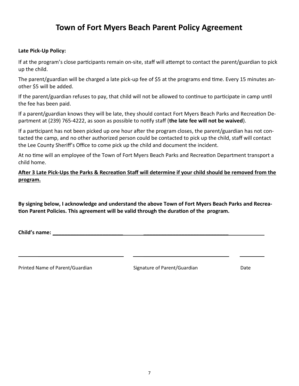# **Town of Fort Myers Beach Parent Policy Agreement**

#### **Late Pick-Up Policy:**

If at the program's close participants remain on-site, staff will attempt to contact the parent/guardian to pick up the child.

The parent/guardian will be charged a late pick-up fee of \$5 at the programs end time. Every 15 minutes another \$5 will be added.

If the parent/guardian refuses to pay, that child will not be allowed to continue to participate in camp until the fee has been paid.

If a parent/guardian knows they will be late, they should contact Fort Myers Beach Parks and Recreation Department at (239) 765-4222, as soon as possible to notify staff (**the late fee will not be waived**).

If a participant has not been picked up one hour after the program closes, the parent/guardian has not contacted the camp, and no other authorized person could be contacted to pick up the child, staff will contact the Lee County Sheriff's Office to come pick up the child and document the incident.

At no time will an employee of the Town of Fort Myers Beach Parks and Recreation Department transport a child home.

**After 3 Late Pick-Ups the Parks & Recreation Staff will determine if your child should be removed from the program.** 

**By signing below, I acknowledge and understand the above Town of Fort Myers Beach Parks and Recreation Parent Policies. This agreement will be valid through the duration of the program.**

\_\_\_\_\_\_\_\_\_\_\_\_\_\_\_\_\_\_\_\_\_\_\_\_\_\_\_\_\_ \_\_\_\_\_\_\_\_\_\_\_\_\_\_\_\_\_\_\_\_\_\_\_\_\_\_\_\_\_

**Child's name: \_\_\_\_\_\_\_\_\_\_\_\_\_\_\_\_\_\_\_\_\_\_\_\_ \_\_\_\_\_\_\_\_\_\_\_\_\_\_\_\_\_\_\_\_\_\_\_\_\_\_\_\_\_**

Printed Name of Parent/Guardian Signature of Parent/Guardian Date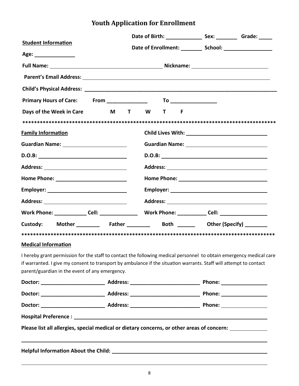# **Youth Application for Enrollment**

|                                                                                                                                                                                                                                                                                             |  |  |  |  |  | Date of Birth: Sex: Caracter Crade: |
|---------------------------------------------------------------------------------------------------------------------------------------------------------------------------------------------------------------------------------------------------------------------------------------------|--|--|--|--|--|-------------------------------------|
| <b>Student Information</b>                                                                                                                                                                                                                                                                  |  |  |  |  |  |                                     |
| Age:                                                                                                                                                                                                                                                                                        |  |  |  |  |  |                                     |
|                                                                                                                                                                                                                                                                                             |  |  |  |  |  |                                     |
|                                                                                                                                                                                                                                                                                             |  |  |  |  |  |                                     |
|                                                                                                                                                                                                                                                                                             |  |  |  |  |  |                                     |
|                                                                                                                                                                                                                                                                                             |  |  |  |  |  |                                     |
| Days of the Week in Care M T W T F                                                                                                                                                                                                                                                          |  |  |  |  |  |                                     |
|                                                                                                                                                                                                                                                                                             |  |  |  |  |  |                                     |
| <b>Family Information</b>                                                                                                                                                                                                                                                                   |  |  |  |  |  |                                     |
|                                                                                                                                                                                                                                                                                             |  |  |  |  |  |                                     |
|                                                                                                                                                                                                                                                                                             |  |  |  |  |  |                                     |
|                                                                                                                                                                                                                                                                                             |  |  |  |  |  |                                     |
|                                                                                                                                                                                                                                                                                             |  |  |  |  |  |                                     |
|                                                                                                                                                                                                                                                                                             |  |  |  |  |  |                                     |
|                                                                                                                                                                                                                                                                                             |  |  |  |  |  |                                     |
|                                                                                                                                                                                                                                                                                             |  |  |  |  |  |                                     |
| Custody: Mother ________ Father ________ Both ______ Other (Specify) ______                                                                                                                                                                                                                 |  |  |  |  |  |                                     |
|                                                                                                                                                                                                                                                                                             |  |  |  |  |  |                                     |
| <b>Medical Information</b>                                                                                                                                                                                                                                                                  |  |  |  |  |  |                                     |
| I hereby grant permission for the staff to contact the following medical personnel to obtain emergency medical care<br>if warranted. I give my consent to transport by ambulance if the situation warrants. Staff will attempt to contact<br>parent/guardian in the event of any emergency. |  |  |  |  |  |                                     |
|                                                                                                                                                                                                                                                                                             |  |  |  |  |  |                                     |
|                                                                                                                                                                                                                                                                                             |  |  |  |  |  |                                     |
|                                                                                                                                                                                                                                                                                             |  |  |  |  |  |                                     |
|                                                                                                                                                                                                                                                                                             |  |  |  |  |  |                                     |
|                                                                                                                                                                                                                                                                                             |  |  |  |  |  |                                     |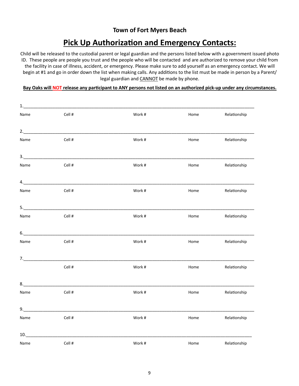# **Town of Fort Myers Beach**

# **Pick Up Authorization and Emergency Contacts:**

Child will be released to the custodial parent or legal guardian and the persons listed below with a government issued photo ID. These people are people you trust and the people who will be contacted and are authorized to remove your child from the facility in case of illness, accident, or emergency. Please make sure to add yourself as an emergency contact. We will begin at #1 and go in order down the list when making calls. Any additions to the list must be made in person by a Parent/ legal guardian and **CANNOT** be made by phone.

#### **Bay Oaks will NOT release any participant to ANY persons not listed on an authorized pick-up under any circumstances.**

| Name                                                                                                                                                                                                                                                                                                                                                                                                                                                                                                           | Cell #                                                                                                                                                                                                                                                                                                                                                                                                                                                                                 | Work#  | Home | Relationship |
|----------------------------------------------------------------------------------------------------------------------------------------------------------------------------------------------------------------------------------------------------------------------------------------------------------------------------------------------------------------------------------------------------------------------------------------------------------------------------------------------------------------|----------------------------------------------------------------------------------------------------------------------------------------------------------------------------------------------------------------------------------------------------------------------------------------------------------------------------------------------------------------------------------------------------------------------------------------------------------------------------------------|--------|------|--------------|
|                                                                                                                                                                                                                                                                                                                                                                                                                                                                                                                | 2.                                                                                                                                                                                                                                                                                                                                                                                                                                                                                     |        |      |              |
| Name                                                                                                                                                                                                                                                                                                                                                                                                                                                                                                           | Cell #                                                                                                                                                                                                                                                                                                                                                                                                                                                                                 | Work#  | Home | Relationship |
| $\begin{array}{c} 3. \qquad \qquad \text{---} \qquad \qquad \text{---} \qquad \text{---} \qquad \text{---} \qquad \text{---} \qquad \text{---} \qquad \text{---} \qquad \text{---} \qquad \text{---} \qquad \text{---} \qquad \text{---} \qquad \text{---} \qquad \text{---} \qquad \text{---} \qquad \text{---} \qquad \text{---} \qquad \text{---} \qquad \text{---} \qquad \text{---} \qquad \text{---} \qquad \text{---} \qquad \text{---} \qquad \text{---} \qquad \text{---} \qquad \text{---} \qquad \$ |                                                                                                                                                                                                                                                                                                                                                                                                                                                                                        |        |      |              |
| Name                                                                                                                                                                                                                                                                                                                                                                                                                                                                                                           | Cell #                                                                                                                                                                                                                                                                                                                                                                                                                                                                                 | Work#  | Home | Relationship |
|                                                                                                                                                                                                                                                                                                                                                                                                                                                                                                                | 4.                                                                                                                                                                                                                                                                                                                                                                                                                                                                                     |        |      |              |
| Name                                                                                                                                                                                                                                                                                                                                                                                                                                                                                                           | Cell #                                                                                                                                                                                                                                                                                                                                                                                                                                                                                 | Work#  | Home | Relationship |
|                                                                                                                                                                                                                                                                                                                                                                                                                                                                                                                |                                                                                                                                                                                                                                                                                                                                                                                                                                                                                        |        |      |              |
| Name                                                                                                                                                                                                                                                                                                                                                                                                                                                                                                           | Cell #                                                                                                                                                                                                                                                                                                                                                                                                                                                                                 | Work#  | Home | Relationship |
| $6.$                                                                                                                                                                                                                                                                                                                                                                                                                                                                                                           | <u> 1989 - Johann Barn, mars an t-Amerikaansk politiker (</u>                                                                                                                                                                                                                                                                                                                                                                                                                          |        |      |              |
| Name                                                                                                                                                                                                                                                                                                                                                                                                                                                                                                           | Cell #                                                                                                                                                                                                                                                                                                                                                                                                                                                                                 | Work # | Home | Relationship |
|                                                                                                                                                                                                                                                                                                                                                                                                                                                                                                                | 7.                                                                                                                                                                                                                                                                                                                                                                                                                                                                                     |        |      |              |
|                                                                                                                                                                                                                                                                                                                                                                                                                                                                                                                | Cell #                                                                                                                                                                                                                                                                                                                                                                                                                                                                                 | Work#  | Home | Relationship |
| $8. \underline{\hspace{2cm}}$                                                                                                                                                                                                                                                                                                                                                                                                                                                                                  |                                                                                                                                                                                                                                                                                                                                                                                                                                                                                        |        |      |              |
| Name                                                                                                                                                                                                                                                                                                                                                                                                                                                                                                           | Cell #                                                                                                                                                                                                                                                                                                                                                                                                                                                                                 | Work#  | Home | Relationship |
| 9.                                                                                                                                                                                                                                                                                                                                                                                                                                                                                                             |                                                                                                                                                                                                                                                                                                                                                                                                                                                                                        |        |      |              |
| Name                                                                                                                                                                                                                                                                                                                                                                                                                                                                                                           | Cell #                                                                                                                                                                                                                                                                                                                                                                                                                                                                                 | Work#  | Home | Relationship |
|                                                                                                                                                                                                                                                                                                                                                                                                                                                                                                                | $10. \begin{tabular}{@{}c@{}} \hline \multicolumn{3}{c}{} & \multicolumn{3}{c}{} & \multicolumn{3}{c}{} \\ \multicolumn{3}{c}{} & \multicolumn{3}{c}{} & \multicolumn{3}{c}{} \\ \multicolumn{3}{c}{} & \multicolumn{3}{c}{} & \multicolumn{3}{c}{} \\ \multicolumn{3}{c}{} & \multicolumn{3}{c}{} & \multicolumn{3}{c}{} \\ \multicolumn{3}{c}{} & \multicolumn{3}{c}{} & \multicolumn{3}{c}{} \\ \multicolumn{3}{c}{} & \multicolumn{3}{c}{} & \multicolumn{3}{c}{} \\ \multicolumn$ |        |      |              |
| Name                                                                                                                                                                                                                                                                                                                                                                                                                                                                                                           | Cell #                                                                                                                                                                                                                                                                                                                                                                                                                                                                                 | Work#  | Home | Relationship |